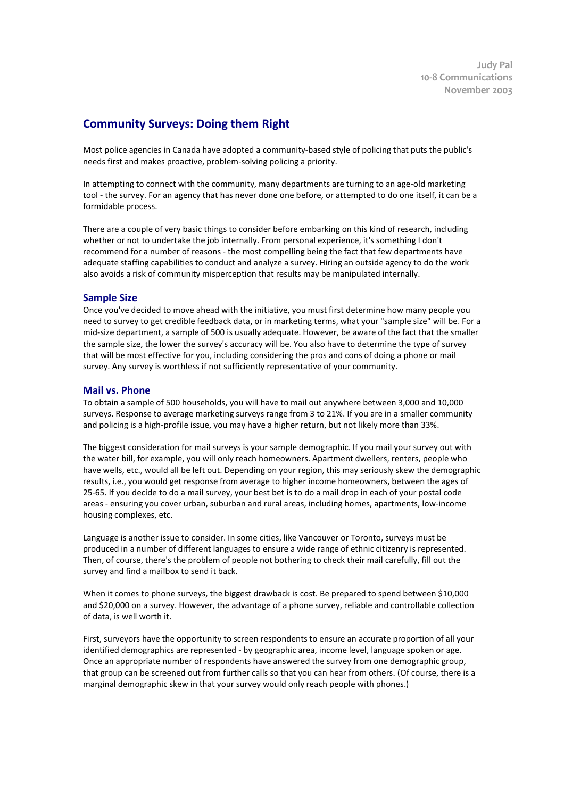**Judy Pal 10-8 Communications November 2003** 

# **Community Surveys: Doing them Right**

Most police agencies in Canada have adopted a community-based style of policing that puts the public's needs first and makes proactive, problem-solving policing a priority.

In attempting to connect with the community, many departments are turning to an age-old marketing tool - the survey. For an agency that has never done one before, or attempted to do one itself, it can be a formidable process.

There are a couple of very basic things to consider before embarking on this kind of research, including whether or not to undertake the job internally. From personal experience, it's something I don't recommend for a number of reasons - the most compelling being the fact that few departments have adequate staffing capabilities to conduct and analyze a survey. Hiring an outside agency to do the work also avoids a risk of community misperception that results may be manipulated internally.

## **Sample Size**

Once you've decided to move ahead with the initiative, you must first determine how many people you need to survey to get credible feedback data, or in marketing terms, what your "sample size" will be. For a mid-size department, a sample of 500 is usually adequate. However, be aware of the fact that the smaller the sample size, the lower the survey's accuracy will be. You also have to determine the type of survey that will be most effective for you, including considering the pros and cons of doing a phone or mail survey. Any survey is worthless if not sufficiently representative of your community.

## **Mail vs. Phone**

To obtain a sample of 500 households, you will have to mail out anywhere between 3,000 and 10,000 surveys. Response to average marketing surveys range from 3 to 21%. If you are in a smaller community and policing is a high-profile issue, you may have a higher return, but not likely more than 33%.

The biggest consideration for mail surveys is your sample demographic. If you mail your survey out with the water bill, for example, you will only reach homeowners. Apartment dwellers, renters, people who have wells, etc., would all be left out. Depending on your region, this may seriously skew the demographic results, i.e., you would get response from average to higher income homeowners, between the ages of 25-65. If you decide to do a mail survey, your best bet is to do a mail drop in each of your postal code areas - ensuring you cover urban, suburban and rural areas, including homes, apartments, low-income housing complexes, etc.

Language is another issue to consider. In some cities, like Vancouver or Toronto, surveys must be produced in a number of different languages to ensure a wide range of ethnic citizenry is represented. Then, of course, there's the problem of people not bothering to check their mail carefully, fill out the survey and find a mailbox to send it back.

When it comes to phone surveys, the biggest drawback is cost. Be prepared to spend between \$10,000 and \$20,000 on a survey. However, the advantage of a phone survey, reliable and controllable collection of data, is well worth it.

First, surveyors have the opportunity to screen respondents to ensure an accurate proportion of all your identified demographics are represented - by geographic area, income level, language spoken or age. Once an appropriate number of respondents have answered the survey from one demographic group, that group can be screened out from further calls so that you can hear from others. (Of course, there is a marginal demographic skew in that your survey would only reach people with phones.)